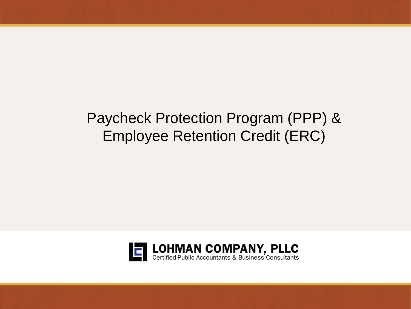## Paycheck Protection Program (PPP) & Employee Retention Credit (ERC)

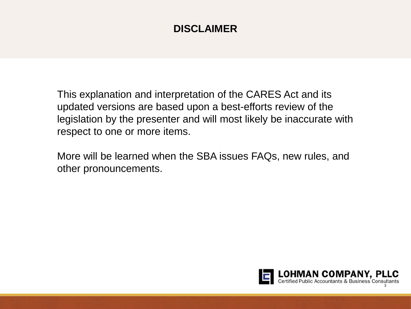## **DISCLAIMER**

This explanation and interpretation of the CARES Act and its updated versions are based upon a best-efforts review of the legislation by the presenter and will most likely be inaccurate with respect to one or more items.

More will be learned when the SBA issues FAQs, new rules, and other pronouncements.

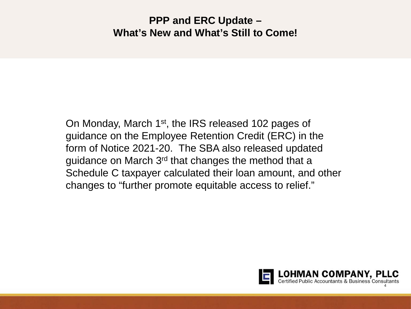## **PPP and ERC Update – What's New and What's Still to Come!**

On Monday, March 1st, the IRS released 102 pages of guidance on the Employee Retention Credit (ERC) in the form of Notice 2021-20. The SBA also released updated guidance on March 3rd that changes the method that a Schedule C taxpayer calculated their loan amount, and other changes to "further promote equitable access to relief."

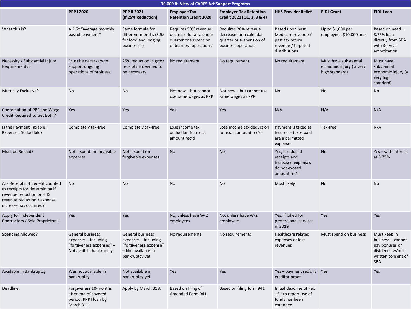| 30,000 ft. View of CARES Act Support Programs                                                                                                          |                                                                                                         |                                                                                                           |                                                                                                    |                                                                                                    |                                                                                                 |                                                                    |                                                                                                            |  |  |
|--------------------------------------------------------------------------------------------------------------------------------------------------------|---------------------------------------------------------------------------------------------------------|-----------------------------------------------------------------------------------------------------------|----------------------------------------------------------------------------------------------------|----------------------------------------------------------------------------------------------------|-------------------------------------------------------------------------------------------------|--------------------------------------------------------------------|------------------------------------------------------------------------------------------------------------|--|--|
|                                                                                                                                                        | <b>PPP I 2020</b>                                                                                       | <b>PPP II 2021</b><br>(If 25% Reduction)                                                                  | <b>Employee Tax</b><br><b>Retention Credit 2020</b>                                                | <b>Employee Tax Retention</b><br>Credit 2021 (Q1, 2, 3 & 4)                                        | <b>HHS Provider Relief</b>                                                                      | <b>EIDL Grant</b>                                                  | <b>EIDL Loan</b>                                                                                           |  |  |
| What this is?                                                                                                                                          | A 2.5x "average monthly<br>payroll payment"                                                             | Same formula for<br>different months (3.5x<br>for food and lodging<br>businesses)                         | Requires 50% revenue<br>decrease for a calendar<br>quarter or suspension<br>of business operations | Requires 20% revenue<br>decrease for a calendar<br>quarter or suspension of<br>business operations | Based upon past<br>Medicare revenue /<br>past tax return<br>revenue / targeted<br>distributions | Up to $$1,000$ per<br>employee. \$10,000 max.                      | Based on need -<br>3.75% loan<br>directly from SBA<br>with 30-year<br>amortization.                        |  |  |
| Necessity / Substantial Injury<br>Requirements?                                                                                                        | Must be necessary to<br>support ongoing<br>operations of business                                       | 25% reduction in gross<br>receipts is deemed to<br>be necessary                                           | No requirement                                                                                     | No requirement                                                                                     | No requirement                                                                                  | Must have substantial<br>economic injury (a very<br>high standard) | Must have<br>substantial<br>economic injury (a<br>very high<br>standard)                                   |  |  |
| Mutually Exclusive?                                                                                                                                    | No                                                                                                      | No                                                                                                        | Not now - but cannot<br>use same wages as PPP                                                      | Not now - but cannot use<br>same wages as PPP                                                      | No                                                                                              | No                                                                 | No                                                                                                         |  |  |
| Coordination of PPP and Wage<br>Credit Required to Get Both?                                                                                           | Yes                                                                                                     | Yes                                                                                                       | Yes                                                                                                | Yes                                                                                                | N/A                                                                                             | N/A                                                                | N/A                                                                                                        |  |  |
| Is the Payment Taxable?<br><b>Expenses Deductible?</b>                                                                                                 | Completely tax-free                                                                                     | Completely tax-free                                                                                       | Lose income tax<br>deduction for exact<br>amount rec'd                                             | Lose income tax deduction<br>for exact amount rec'd                                                | Payment is taxed as<br>income - taxes paid<br>are a permitted<br>expense                        | Tax-free                                                           | N/A                                                                                                        |  |  |
| Must be Repaid?                                                                                                                                        | Not if spent on forgivable<br>expenses                                                                  | Not if spent on<br>forgivable expenses                                                                    | <b>No</b>                                                                                          | <b>No</b>                                                                                          | Yes, if reduced<br>receipts and<br>increased expenses<br>do not exceed<br>amount rec'd          | <b>No</b>                                                          | Yes - with interest<br>at 3.75%                                                                            |  |  |
| Are Receipts of Benefit counted<br>as receipts for determining if<br>revenue reduction or HHS<br>revenue reduction / expense<br>increase has occurred? | No                                                                                                      | <b>No</b>                                                                                                 | No                                                                                                 | No                                                                                                 | Most likely                                                                                     | No                                                                 | <b>No</b>                                                                                                  |  |  |
| Apply for Independent<br>Contractors / Sole Proprietors?                                                                                               | Yes                                                                                                     | Yes                                                                                                       | No, unless have W-2<br>employees                                                                   | No, unless have W-2<br>employees                                                                   | Yes, if billed for<br>professional services<br>in 2019                                          | Yes                                                                | Yes                                                                                                        |  |  |
| Spending Allowed?                                                                                                                                      | <b>General business</b><br>expenses - including<br>"forgiveness expenses" -<br>Not avail. In bankruptcy | General business<br>expenses - including<br>"forgiveness expense"<br>- Not available in<br>bankruptcy yet | No requirements                                                                                    | No requirements                                                                                    | Healthcare related<br>expenses or lost<br>revenues                                              | Must spend on business                                             | Must keep in<br>business - cannot<br>pay bonuses or<br>dividends w/out<br>written consent of<br><b>SBA</b> |  |  |
| Available in Bankruptcy                                                                                                                                | Was not available in<br>bankruptcy                                                                      | Not available in<br>bankruptcy yet                                                                        | Yes                                                                                                | Yes                                                                                                | Yes - payment rec'd is Yes<br>creditor proof                                                    |                                                                    | Yes                                                                                                        |  |  |
| Deadline                                                                                                                                               | Forgiveness 10-months<br>after end of covered<br>period. PPP I loan by<br>March 31 <sup>st</sup> .      | Apply by March 31st                                                                                       | Based on filing of<br>Amended Form 941                                                             | Based on filing form 941                                                                           | Initial deadline of Feb<br>15 <sup>th</sup> to report use of<br>funds has been<br>extended      |                                                                    |                                                                                                            |  |  |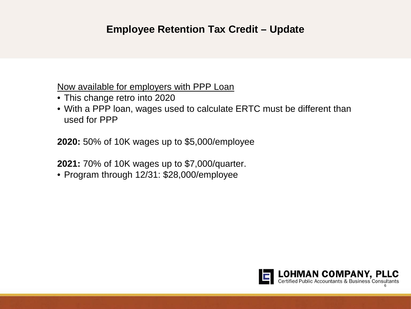## **Employee Retention Tax Credit – Update**

Now available for employers with PPP Loan

- This change retro into 2020
- With a PPP loan, wages used to calculate ERTC must be different than used for PPP

**2020:** 50% of 10K wages up to \$5,000/employee

**2021:** 70% of 10K wages up to \$7,000/quarter.

• Program through 12/31: \$28,000/employee

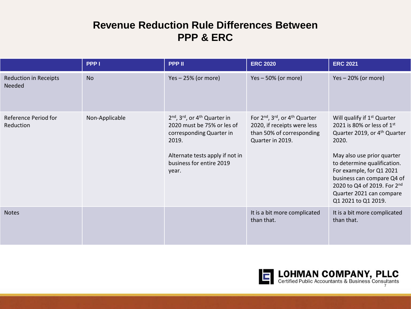## **Revenue Reduction Rule Differences Between PPP & ERC**

|                                        | PPP <sub>1</sub> | <b>PPP II</b>                                                                                                                                                                      | <b>ERC 2020</b>                                                                                              | <b>ERC 2021</b>                                                                                                                                                                                                                                                                                                                     |
|----------------------------------------|------------------|------------------------------------------------------------------------------------------------------------------------------------------------------------------------------------|--------------------------------------------------------------------------------------------------------------|-------------------------------------------------------------------------------------------------------------------------------------------------------------------------------------------------------------------------------------------------------------------------------------------------------------------------------------|
| <b>Reduction in Receipts</b><br>Needed | <b>No</b>        | $Yes - 25% (or more)$                                                                                                                                                              | $Yes - 50\% (or more)$                                                                                       | $Yes - 20% (or more)$                                                                                                                                                                                                                                                                                                               |
| Reference Period for<br>Reduction      | Non-Applicable   | 2nd, 3rd, or 4 <sup>th</sup> Quarter in<br>2020 must be 75% or les of<br>corresponding Quarter in<br>2019.<br>Alternate tests apply if not in<br>business for entire 2019<br>year. | For 2nd, 3rd, or 4th Quarter<br>2020, if receipts were less<br>than 50% of corresponding<br>Quarter in 2019. | Will qualify if 1 <sup>st</sup> Quarter<br>2021 is 80% or less of 1st<br>Quarter 2019, or 4 <sup>th</sup> Quarter<br>2020.<br>May also use prior quarter<br>to determine qualification.<br>For example, for Q1 2021<br>business can compare Q4 of<br>2020 to Q4 of 2019. For 2nd<br>Quarter 2021 can compare<br>Q1 2021 to Q1 2019. |
| <b>Notes</b>                           |                  |                                                                                                                                                                                    | It is a bit more complicated<br>than that.                                                                   | It is a bit more complicated<br>than that.                                                                                                                                                                                                                                                                                          |

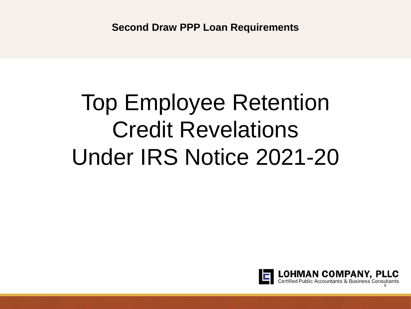# Top Employee Retention Credit Revelations Under IRS Notice 2021-20

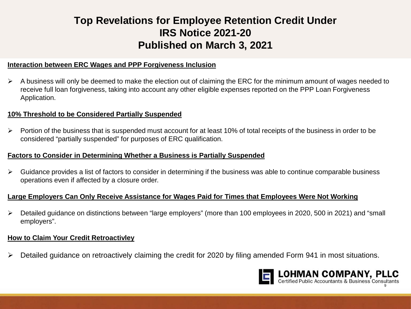## **Top Revelations for Employee Retention Credit Under IRS Notice 2021-20 Published on March 3, 2021**

#### **Interaction between ERC Wages and PPP Forgiveness Inclusion**

 $\triangleright$  A business will only be deemed to make the election out of claiming the ERC for the minimum amount of wages needed to receive full loan forgiveness, taking into account any other eligible expenses reported on the PPP Loan Forgiveness Application.

#### **10% Threshold to be Considered Partially Suspended**

 $\triangleright$  Portion of the business that is suspended must account for at least 10% of total receipts of the business in order to be considered "partially suspended" for purposes of ERC qualification.

#### **Factors to Consider in Determining Whether a Business is Partially Suspended**

 $\triangleright$  Guidance provides a list of factors to consider in determining if the business was able to continue comparable business operations even if affected by a closure order.

#### **Large Employers Can Only Receive Assistance for Wages Paid for Times that Employees Were Not Working**

 Detailed guidance on distinctions between "large employers" (more than 100 employees in 2020, 500 in 2021) and "small employers".

#### **How to Claim Your Credit Retroactivley**

Detailed guidance on retroactively claiming the credit for 2020 by filing amended Form 941 in most situations.

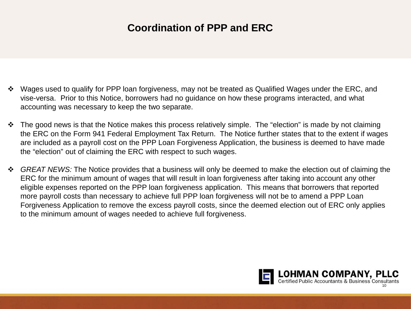## **Coordination of PPP and ERC**

- Wages used to qualify for PPP loan forgiveness, may not be treated as Qualified Wages under the ERC, and vise-versa. Prior to this Notice, borrowers had no guidance on how these programs interacted, and what accounting was necessary to keep the two separate.
- $\cdot$  The good news is that the Notice makes this process relatively simple. The "election" is made by not claiming the ERC on the Form 941 Federal Employment Tax Return. The Notice further states that to the extent if wages are included as a payroll cost on the PPP Loan Forgiveness Application, the business is deemed to have made the "election" out of claiming the ERC with respect to such wages.
- *GREAT NEWS:* The Notice provides that a business will only be deemed to make the election out of claiming the ERC for the minimum amount of wages that will result in loan forgiveness after taking into account any other eligible expenses reported on the PPP loan forgiveness application. This means that borrowers that reported more payroll costs than necessary to achieve full PPP loan forgiveness will not be to amend a PPP Loan Forgiveness Application to remove the excess payroll costs, since the deemed election out of ERC only applies to the minimum amount of wages needed to achieve full forgiveness.

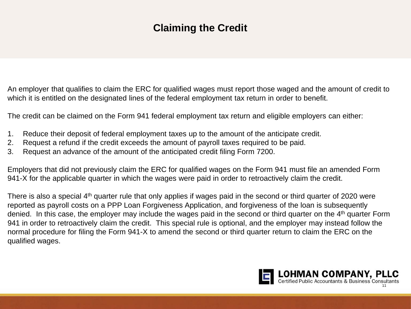## **Claiming the Credit**

An employer that qualifies to claim the ERC for qualified wages must report those waged and the amount of credit to which it is entitled on the designated lines of the federal employment tax return in order to benefit.

The credit can be claimed on the Form 941 federal employment tax return and eligible employers can either:

- 1. Reduce their deposit of federal employment taxes up to the amount of the anticipate credit.
- 2. Request a refund if the credit exceeds the amount of payroll taxes required to be paid.
- 3. Request an advance of the amount of the anticipated credit filing Form 7200.

Employers that did not previously claim the ERC for qualified wages on the Form 941 must file an amended Form 941-X for the applicable quarter in which the wages were paid in order to retroactively claim the credit.

There is also a special 4<sup>th</sup> quarter rule that only applies if wages paid in the second or third quarter of 2020 were reported as payroll costs on a PPP Loan Forgiveness Application, and forgiveness of the loan is subsequently denied. In this case, the employer may include the wages paid in the second or third quarter on the 4<sup>th</sup> quarter Form 941 in order to retroactively claim the credit. This special rule is optional, and the employer may instead follow the normal procedure for filing the Form 941-X to amend the second or third quarter return to claim the ERC on the qualified wages.